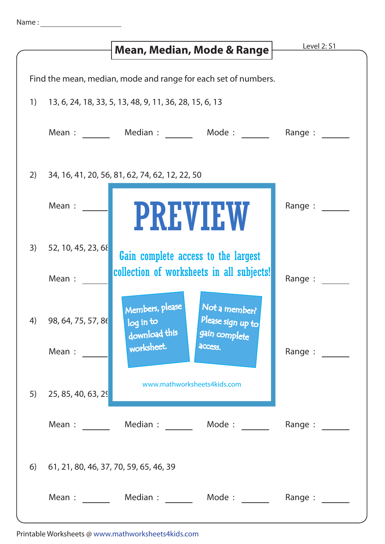|                                                                |                                           | Mean, Median, Mode & Range                                                                                                    | <b>Level 2: S1</b>                                                                                                                                    |
|----------------------------------------------------------------|-------------------------------------------|-------------------------------------------------------------------------------------------------------------------------------|-------------------------------------------------------------------------------------------------------------------------------------------------------|
|                                                                |                                           |                                                                                                                               |                                                                                                                                                       |
| Find the mean, median, mode and range for each set of numbers. |                                           |                                                                                                                               |                                                                                                                                                       |
| 1)                                                             |                                           | 13, 6, 24, 18, 33, 5, 13, 48, 9, 11, 36, 28, 15, 6, 13                                                                        |                                                                                                                                                       |
|                                                                |                                           | Mean : Median : Mode : Mode :                                                                                                 | Range :                                                                                                                                               |
| 2)                                                             |                                           | 34, 16, 41, 20, 56, 81, 62, 74, 62, 12, 22, 50                                                                                |                                                                                                                                                       |
|                                                                | Mean :                                    | <b>PREVIEW</b>                                                                                                                | Range :                                                                                                                                               |
| 3)                                                             | 52, 10, 45, 23, 68                        | Gain complete access to the largest<br>collection of worksheets in all subjects!                                              |                                                                                                                                                       |
|                                                                | Mean :                                    |                                                                                                                               | Range :                                                                                                                                               |
| 4)                                                             | 98, 64, 75, 57, 86<br>Mean:               | Members, please<br>Not a member?<br>Please sign up to<br>log in to<br>download this<br>gain complete<br>worksheet.<br>access. | Range : $\frac{1}{\sqrt{1-\frac{1}{2}} \cdot \frac{1}{\sqrt{1-\frac{1}{2}} \cdot \frac{1}{2}} \cdot \frac{1}{\sqrt{1-\frac{1}{2}} \cdot \frac{1}{2}}$ |
| 5)                                                             | 25, 85, 40, 63, 29                        | www.mathworksheets4kids.com                                                                                                   |                                                                                                                                                       |
|                                                                | Mean : $\qquad \qquad \_$                 | Median : Mode :                                                                                                               | Range:                                                                                                                                                |
|                                                                | 6) 61, 21, 80, 46, 37, 70, 59, 65, 46, 39 |                                                                                                                               |                                                                                                                                                       |
|                                                                |                                           | Mean: Median: Mode: Range:                                                                                                    |                                                                                                                                                       |